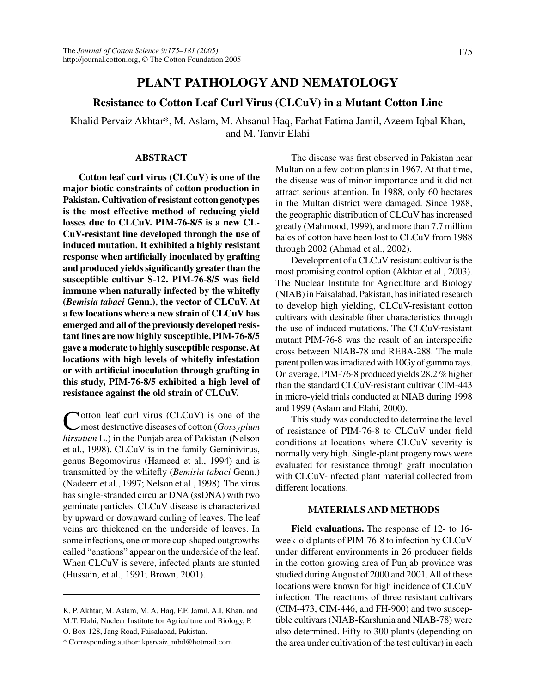# **PLANT PATHOLOGY AND NEMATOLOGY**

## **Resistance to Cotton Leaf Curl Virus (CLCuV) in a Mutant Cotton Line**

Khalid Pervaiz Akhtar\*, M. Aslam, M. Ahsanul Haq, Farhat Fatima Jamil, Azeem Iqbal Khan, and M. Tanvir Elahi

### **ABSTRACT**

**Cotton leaf curl virus (CLCuV) is one of the major biotic constraints of cotton production in Pakistan. Cultivation of resistant cotton genotypes is the most effective method of reducing yield losses due to CLCuV. PIM-76-8/5 is a new CL-CuV-resistant line developed through the use of induced mutation. It exhibited a highly resistant response when artificially inoculated by grafting and produced yields significantly greater than the susceptible cultivar S-12. PIM-76-8/5 was field immune when naturally infected by the whitefly (***Bemisia tabaci* **Genn.), the vector of CLCuV. At a few locations where a new strain of CLCuV has emerged and all of the previously developed resistant lines are now highly susceptible, PIM-76-8/5 gave a moderate to highly susceptible response. At locations with high levels of whitefly infestation or with artificial inoculation through grafting in this study, PIM-76-8/5 exhibited a high level of resistance against the old strain of CLCuV.**

Cotton leaf curl virus (CLCuV) is one of the most destructive diseases of cotton (*Gossypium hirsutum* L.) in the Punjab area of Pakistan (Nelson et al., 1998). CLCuV is in the family Geminivirus, genus Begomovirus (Hameed et al., 1994) and is transmitted by the whitefly (*Bemisia tabaci* Genn.) (Nadeem et al., 1997; Nelson et al., 1998). The virus has single-stranded circular DNA (ssDNA) with two geminate particles. CLCuV disease is characterized by upward or downward curling of leaves. The leaf veins are thickened on the underside of leaves. In some infections, one or more cup-shaped outgrowths called "enations" appear on the underside of the leaf. When CLCuV is severe, infected plants are stunted (Hussain, et al., 1991; Brown, 2001).

The disease was first observed in Pakistan near Multan on a few cotton plants in 1967. At that time, the disease was of minor importance and it did not attract serious attention. In 1988, only 60 hectares in the Multan district were damaged. Since 1988, the geographic distribution of CLCuV has increased greatly (Mahmood, 1999), and more than 7.7 million bales of cotton have been lost to CLCuV from 1988 through 2002 (Ahmad et al., 2002).

Development of a CLCuV-resistant cultivar is the most promising control option (Akhtar et al., 2003). The Nuclear Institute for Agriculture and Biology (NIAB) in Faisalabad, Pakistan, has initiated research to develop high yielding, CLCuV-resistant cotton cultivars with desirable fiber characteristics through the use of induced mutations. The CLCuV-resistant mutant PIM-76-8 was the result of an interspecific cross between NIAB-78 and REBA-288. The male parent pollen was irradiated with 10Gy of gamma rays. On average, PIM-76-8 produced yields 28.2 % higher than the standard CLCuV-resistant cultivar CIM-443 in micro-yield trials conducted at NIAB during 1998 and 1999 (Aslam and Elahi, 2000).

This study was conducted to determine the level of resistance of PIM-76-8 to CLCuV under field conditions at locations where CLCuV severity is normally very high. Single-plant progeny rows were evaluated for resistance through graft inoculation with CLCuV-infected plant material collected from different locations.

### **MATERIALS AND METHODS**

**Field evaluations.** The response of 12- to 16 week-old plants of PIM-76-8 to infection by CLCuV under different environments in 26 producer fields in the cotton growing area of Punjab province was studied during August of 2000 and 2001. All of these locations were known for high incidence of CLCuV infection. The reactions of three resistant cultivars (CIM-473, CIM-446, and FH-900) and two susceptible cultivars (NIAB-Karshmia and NIAB-78) were also determined. Fifty to 300 plants (depending on the area under cultivation of the test cultivar) in each

K. P. Akhtar, M. Aslam, M. A. Haq, F.F. Jamil, A.I. Khan, and M.T. Elahi, Nuclear Institute for Agriculture and Biology, P. O. Box-128, Jang Road, Faisalabad, Pakistan.

<sup>\*</sup> Corresponding author: kpervaiz\_mbd@hotmail.com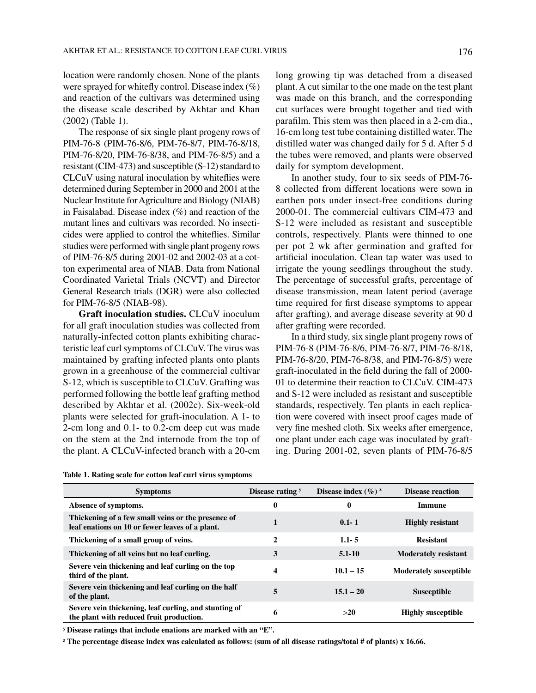location were randomly chosen. None of the plants were sprayed for whitefly control. Disease index (%) and reaction of the cultivars was determined using the disease scale described by Akhtar and Khan (2002) (Table 1).

The response of six single plant progeny rows of PIM-76-8 (PIM-76-8/6, PIM-76-8/7, PIM-76-8/18, PIM-76-8/20, PIM-76-8/38, and PIM-76-8/5) and a resistant (CIM-473) and susceptible (S-12) standard to CLCuV using natural inoculation by whiteflies were determined during September in 2000 and 2001 at the Nuclear Institute for Agriculture and Biology (NIAB) in Faisalabad. Disease index (%) and reaction of the mutant lines and cultivars was recorded. No insecticides were applied to control the whiteflies. Similar studies were performed with single plant progeny rows of PIM-76-8/5 during 2001-02 and 2002-03 at a cotton experimental area of NIAB. Data from National Coordinated Varietal Trials (NCVT) and Director General Research trials (DGR) were also collected for PIM-76-8/5 (NIAB-98).

**Graft inoculation studies.** CLCuV inoculum for all graft inoculation studies was collected from naturally-infected cotton plants exhibiting characteristic leaf curl symptoms of CLCuV. The virus was maintained by grafting infected plants onto plants grown in a greenhouse of the commercial cultivar S-12, which is susceptible to CLCuV. Grafting was performed following the bottle leaf grafting method described by Akhtar et al. (2002c). Six-week-old plants were selected for graft-inoculation. A 1- to 2-cm long and 0.1- to 0.2-cm deep cut was made on the stem at the 2nd internode from the top of the plant. A CLCuV-infected branch with a 20-cm long growing tip was detached from a diseased plant. A cut similar to the one made on the test plant was made on this branch, and the corresponding cut surfaces were brought together and tied with parafilm. This stem was then placed in a 2-cm dia., 16-cm long test tube containing distilled water. The distilled water was changed daily for 5 d. After 5 d the tubes were removed, and plants were observed daily for symptom development.

In another study, four to six seeds of PIM-76- 8 collected from different locations were sown in earthen pots under insect-free conditions during 2000-01. The commercial cultivars CIM-473 and S-12 were included as resistant and susceptible controls, respectively. Plants were thinned to one per pot 2 wk after germination and grafted for artificial inoculation. Clean tap water was used to irrigate the young seedlings throughout the study. The percentage of successful grafts, percentage of disease transmission, mean latent period (average time required for first disease symptoms to appear after grafting), and average disease severity at 90 d after grafting were recorded.

In a third study, six single plant progeny rows of PIM-76-8 (PIM-76-8/6, PIM-76-8/7, PIM-76-8/18, PIM-76-8/20, PIM-76-8/38, and PIM-76-8/5) were graft-inoculated in the field during the fall of 2000- 01 to determine their reaction to CLCuV. CIM-473 and S-12 were included as resistant and susceptible standards, respectively. Ten plants in each replication were covered with insect proof cages made of very fine meshed cloth. Six weeks after emergence, one plant under each cage was inoculated by grafting. During 2001-02, seven plants of PIM-76-8/5

| <b>Symptoms</b>                                                                                       | Disease rating y | Disease index $(\%)^{z}$ | <b>Disease reaction</b>       |
|-------------------------------------------------------------------------------------------------------|------------------|--------------------------|-------------------------------|
| Absence of symptoms.                                                                                  | 0                | 0                        | Immune                        |
| Thickening of a few small veins or the presence of<br>leaf enations on 10 or fewer leaves of a plant. | 1                | $0.1 - 1$                | <b>Highly resistant</b>       |
| Thickening of a small group of veins.                                                                 | 2                | $1.1 - 5$                | <b>Resistant</b>              |
| Thickening of all veins but no leaf curling.                                                          | 3                | $5.1 - 10$               | <b>Moderately resistant</b>   |
| Severe vein thickening and leaf curling on the top<br>third of the plant.                             | 4                | $10.1 - 15$              | <b>Moderately susceptible</b> |
| Severe vein thickening and leaf curling on the half<br>of the plant.                                  | 5                | $15.1 - 20$              | <b>Susceptible</b>            |
| Severe vein thickening, leaf curling, and stunting of<br>the plant with reduced fruit production.     | 6                | >20                      | <b>Highly susceptible</b>     |

**Table 1. Rating scale for cotton leaf curl virus symptoms**

**y Disease ratings that include enations are marked with an "E".**

**z The percentage disease index was calculated as follows: (sum of all disease ratings/total # of plants) x 16.66.**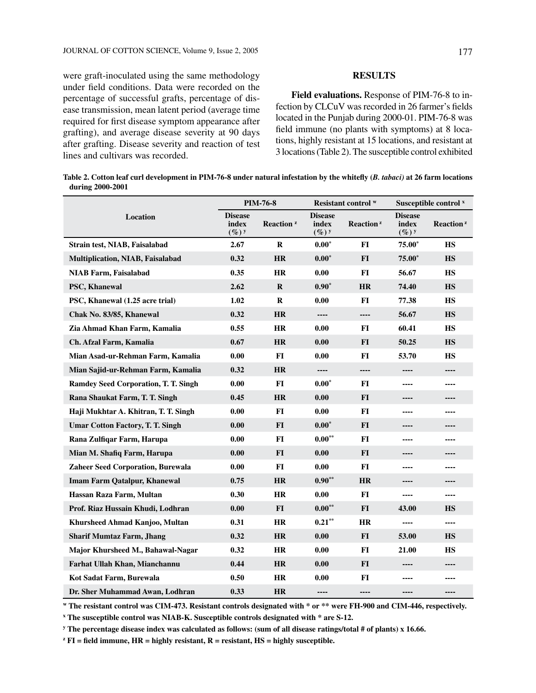were graft-inoculated using the same methodology under field conditions. Data were recorded on the percentage of successful grafts, percentage of disease transmission, mean latent period (average time required for first disease symptom appearance after grafting), and average disease severity at 90 days after grafting. Disease severity and reaction of test lines and cultivars was recorded.

#### **RESULTS**

**Field evaluations.** Response of PIM-76-8 to infection by CLCuV was recorded in 26 farmer's fields located in the Punjab during 2000-01. PIM-76-8 was field immune (no plants with symptoms) at 8 locations, highly resistant at 15 locations, and resistant at 3 locations (Table 2). The susceptible control exhibited

| Table 2. Cotton leaf curl development in PIM-76-8 under natural infestation by the whitefly (B. tabaci) at 26 farm locations |  |
|------------------------------------------------------------------------------------------------------------------------------|--|
| during 2000-2001                                                                                                             |  |

|                                          |                                     | <b>PIM-76-8</b>       | Resistant control W                 |                       | Susceptible control <sup>x</sup>    |                       |
|------------------------------------------|-------------------------------------|-----------------------|-------------------------------------|-----------------------|-------------------------------------|-----------------------|
| Location                                 | <b>Disease</b><br>index<br>$(\%)^y$ | Reaction <sup>z</sup> | <b>Disease</b><br>index<br>$(\%)^y$ | Reaction <sup>2</sup> | <b>Disease</b><br>index<br>$(\%)^y$ | Reaction <sup>z</sup> |
| Strain test, NIAB, Faisalabad            | 2.67                                | R                     | $0.00*$                             | <b>FI</b>             | $75.00*$                            | <b>HS</b>             |
| Multiplication, NIAB, Faisalabad         | 0.32                                | <b>HR</b>             | $0.00*$                             | $FI$                  | $75.00*$                            | <b>HS</b>             |
| <b>NIAB Farm, Faisalabad</b>             | 0.35                                | <b>HR</b>             | 0.00                                | $FI$                  | 56.67                               | <b>HS</b>             |
| <b>PSC, Khanewal</b>                     | 2.62                                | R                     | $0.90*$                             | <b>HR</b>             | 74.40                               | <b>HS</b>             |
| PSC, Khanewal (1.25 acre trial)          | 1.02                                | $\bf R$               | 0.00                                | FI                    | 77.38                               | <b>HS</b>             |
| Chak No. 83/85, Khanewal                 | 0.32                                | <b>HR</b>             | ----                                | ----                  | 56.67                               | <b>HS</b>             |
| Zia Ahmad Khan Farm, Kamalia             | 0.55                                | <b>HR</b>             | 0.00                                | $FI$                  | 60.41                               | <b>HS</b>             |
| Ch. Afzal Farm, Kamalia                  | 0.67                                | <b>HR</b>             | 0.00                                | FI                    | 50.25                               | <b>HS</b>             |
| Mian Asad-ur-Rehman Farm, Kamalia        | 0.00                                | FI                    | 0.00                                | FI                    | 53.70                               | <b>HS</b>             |
| Mian Sajid-ur-Rehman Farm, Kamalia       | 0.32                                | <b>HR</b>             | $\overline{\phantom{a}}$            | ----                  | ----                                | ----                  |
| Ramdey Seed Corporation, T. T. Singh     | 0.00                                | $\bf{FI}$             | $0.00*$                             | FI                    | ----                                | ----                  |
| Rana Shaukat Farm, T. T. Singh           | 0.45                                | <b>HR</b>             | 0.00                                | <b>FI</b>             | ----                                | ----                  |
| Haji Mukhtar A. Khitran, T. T. Singh     | 0.00                                | FI                    | 0.00                                | $FI$                  | ----                                | ----                  |
| <b>Umar Cotton Factory, T. T. Singh</b>  | 0.00                                | $FI$                  | $0.00*$                             | <b>FI</b>             | ----                                | ----                  |
| Rana Zulfiqar Farm, Harupa               | 0.00                                | FI                    | $0.00***$                           | FI                    | ----                                | ----                  |
| Mian M. Shafiq Farm, Harupa              | 0.00                                | $FI$                  | 0.00                                | FI                    | ----                                | ----                  |
| <b>Zaheer Seed Corporation, Burewala</b> | 0.00                                | <b>FI</b>             | 0.00                                | <b>FI</b>             | ----                                | ----                  |
| <b>Imam Farm Qatalpur, Khanewal</b>      | 0.75                                | <b>HR</b>             | $0.90**$                            | HR                    | ----                                | ----                  |
| Hassan Raza Farm, Multan                 | 0.30                                | <b>HR</b>             | 0.00                                | $FI$                  | ----                                | ----                  |
| Prof. Riaz Hussain Khudi, Lodhran        | 0.00                                | <b>FI</b>             | $0.00**$                            | <b>FI</b>             | 43.00                               | <b>HS</b>             |
| <b>Khursheed Ahmad Kanjoo, Multan</b>    | 0.31                                | <b>HR</b>             | $0.21***$                           | <b>HR</b>             | ----                                | ----                  |
| <b>Sharif Mumtaz Farm, Jhang</b>         | 0.32                                | <b>HR</b>             | 0.00                                | $FI$                  | 53.00                               | <b>HS</b>             |
| Major Khursheed M., Bahawal-Nagar        | 0.32                                | <b>HR</b>             | 0.00                                | FI                    | 21.00                               | <b>HS</b>             |
| Farhat Ullah Khan, Mianchannu            | 0.44                                | HR                    | 0.00                                | FI                    | ----                                | ----                  |
| Kot Sadat Farm, Burewala                 | 0.50                                | HR                    | 0.00                                | FI                    | ----                                | ----                  |
| Dr. Sher Muhammad Awan, Lodhran          | 0.33                                | <b>HR</b>             | ----                                | ----                  | ----                                | ----                  |

**w The resistant control was CIM-473. Resistant controls designated with \* or \*\* were FH-900 and CIM-446, respectively.**

**x The susceptible control was NIAB-K. Susceptible controls designated with \* are S-12.**

**y The percentage disease index was calculated as follows: (sum of all disease ratings/total # of plants) x 16.66.**

 $\mathbf{z} \mathbf{F}$ **I** = field immune, HR = highly resistant, R = resistant, HS = highly susceptible.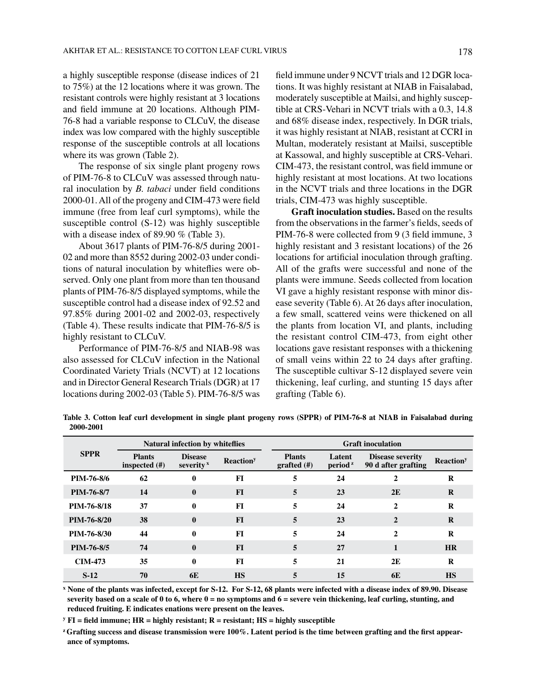a highly susceptible response (disease indices of 21 to 75%) at the 12 locations where it was grown. The resistant controls were highly resistant at 3 locations and field immune at 20 locations. Although PIM-76-8 had a variable response to CLCuV, the disease index was low compared with the highly susceptible response of the susceptible controls at all locations where its was grown (Table 2).

The response of six single plant progeny rows of PIM-76-8 to CLCuV was assessed through natural inoculation by *B. tabaci* under field conditions 2000-01. All of the progeny and CIM-473 were field immune (free from leaf curl symptoms), while the susceptible control (S-12) was highly susceptible with a disease index of 89.90 % (Table 3).

About 3617 plants of PIM-76-8/5 during 2001- 02 and more than 8552 during 2002-03 under conditions of natural inoculation by whiteflies were observed. Only one plant from more than ten thousand plants of PIM-76-8/5 displayed symptoms, while the susceptible control had a disease index of 92.52 and 97.85% during 2001-02 and 2002-03, respectively (Table 4). These results indicate that PIM-76-8/5 is highly resistant to CLCuV.

Performance of PIM-76-8/5 and NIAB-98 was also assessed for CLCuV infection in the National Coordinated Variety Trials (NCVT) at 12 locations and in Director General Research Trials (DGR) at 17 locations during 2002-03 (Table 5). PIM-76-8/5 was field immune under 9 NCVT trials and 12 DGR locations. It was highly resistant at NIAB in Faisalabad, moderately susceptible at Mailsi, and highly susceptible at CRS-Vehari in NCVT trials with a 0.3, 14.8 and 68% disease index, respectively. In DGR trials, it was highly resistant at NIAB, resistant at CCRI in Multan, moderately resistant at Mailsi, susceptible at Kassowal, and highly susceptible at CRS-Vehari. CIM-473, the resistant control, was field immune or highly resistant at most locations. At two locations in the NCVT trials and three locations in the DGR trials, CIM-473 was highly susceptible.

**Graft inoculation studies.** Based on the results from the observations in the farmer's fields, seeds of PIM-76-8 were collected from 9 (3 field immune, 3 highly resistant and 3 resistant locations) of the 26 locations for artificial inoculation through grafting. All of the grafts were successful and none of the plants were immune. Seeds collected from location VI gave a highly resistant response with minor disease severity (Table 6). At 26 days after inoculation, a few small, scattered veins were thickened on all the plants from location VI, and plants, including the resistant control CIM-473, from eight other locations gave resistant responses with a thickening of small veins within 22 to 24 days after grafting. The susceptible cultivar S-12 displayed severe vein thickening, leaf curling, and stunting 15 days after grafting (Table 6).

**Table 3. Cotton leaf curl development in single plant progeny rows (SPPR) of PIM-76-8 at NIAB in Faisalabad during 2000-2001**

| Natural infection by whiteflies |                                   |                                | <b>Graft</b> inoculation     |                                 |                                            |                                                |                              |
|---------------------------------|-----------------------------------|--------------------------------|------------------------------|---------------------------------|--------------------------------------------|------------------------------------------------|------------------------------|
| <b>SPPR</b>                     | <b>Plants</b><br>inspected $(\#)$ | <b>Disease</b><br>severity $x$ | <b>Reaction</b> <sup>y</sup> | <b>Plants</b><br>grafted $(\#)$ | Latent<br>period <sup><math>z</math></sup> | <b>Disease severity</b><br>90 d after grafting | <b>Reaction</b> <sup>y</sup> |
| PIM-76-8/6                      | 62                                | 0                              | FI                           | 5                               | 24                                         | 2                                              | R                            |
| PIM-76-8/7                      | 14                                | $\bf{0}$                       | FI                           | 5                               | 23                                         | 2E                                             | $\bf{R}$                     |
| PIM-76-8/18                     | 37                                | $\bf{0}$                       | FI                           | 5                               | 24                                         | $\mathbf{2}$                                   | R                            |
| PIM-76-8/20                     | 38                                | $\mathbf{0}$                   | FI                           | 5                               | 23                                         | $\overline{2}$                                 | R                            |
| PIM-76-8/30                     | 44                                | $\bf{0}$                       | FI                           | 5                               | 24                                         | $\mathbf{2}$                                   | R                            |
| PIM-76-8/5                      | 74                                | $\mathbf{0}$                   | F <sub>I</sub>               | 5                               | 27                                         |                                                | <b>HR</b>                    |
| <b>CIM-473</b>                  | 35                                | $\bf{0}$                       | FI                           | 5                               | 21                                         | 2E                                             | R                            |
| $S-12$                          | 70                                | 6E                             | <b>HS</b>                    | 5                               | 15                                         | 6E                                             | <b>HS</b>                    |

**x None of the plants was infected, except for S-12. For S-12, 68 plants were infected with a disease index of 89.90. Disease severity based on a scale of 0 to 6, where 0 = no symptoms and 6 = severe vein thickening, leaf curling, stunting, and reduced fruiting. E indicates enations were present on the leaves.**

**y FI = field immune; HR = highly resistant; R = resistant; HS = highly susceptible**

**z Grafting success and disease transmission were 100%. Latent period is the time between grafting and the first appearance of symptoms.**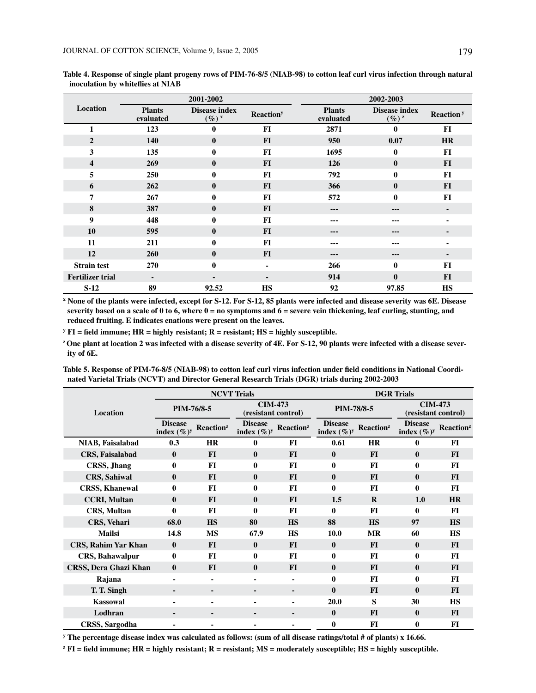| 2001-2002               |                            |                                    |                              | 2002-2003                  |                                      |                              |  |
|-------------------------|----------------------------|------------------------------------|------------------------------|----------------------------|--------------------------------------|------------------------------|--|
| Location                | <b>Plants</b><br>evaluated | <b>Disease index</b><br>$(\%)^{x}$ | <b>Reaction</b> <sup>y</sup> | <b>Plants</b><br>evaluated | Disease index<br>$(\%)^{\mathbf{z}}$ | <b>Reaction</b> <sup>y</sup> |  |
| 1                       | 123                        | $\bf{0}$                           | FI                           | 2871                       | $\mathbf{0}$                         | FI                           |  |
| $\overline{2}$          | 140                        | $\bf{0}$                           | $FI$                         | 950                        | 0.07                                 | <b>HR</b>                    |  |
| 3                       | 135                        | $\bf{0}$                           | FI                           | 1695                       | $\mathbf{0}$                         | FI                           |  |
| $\overline{\mathbf{4}}$ | 269                        | $\bf{0}$                           | <b>FI</b>                    | 126                        | $\mathbf{0}$                         | FI                           |  |
| 5                       | 250                        | 0                                  | FI                           | 792                        | $\mathbf{0}$                         | FI                           |  |
| 6                       | 262                        | $\bf{0}$                           | <b>FI</b>                    | 366                        | $\mathbf{0}$                         | FI                           |  |
| 7                       | 267                        | $\bf{0}$                           | FI                           | 572                        | $\mathbf{0}$                         | FI                           |  |
| 8                       | 387                        | $\bf{0}$                           | <b>FI</b>                    | ---                        | ---                                  | ۰                            |  |
| 9                       | 448                        | $\bf{0}$                           | FI                           | ---                        | ---                                  | ٠                            |  |
| 10                      | 595                        | $\bf{0}$                           | <b>FI</b>                    | ---                        | ---                                  | $\blacksquare$               |  |
| 11                      | 211                        | $\bf{0}$                           | FI                           | ---                        | ---                                  | ٠                            |  |
| 12                      | 260                        | $\bf{0}$                           | $FI$                         | ---                        | $\qquad \qquad \cdots$               | ۰                            |  |
| <b>Strain test</b>      | 270                        | $\bf{0}$                           | $\blacksquare$               | 266                        | $\mathbf{0}$                         | FI                           |  |
| <b>Fertilizer trial</b> | $\blacksquare$             | $\blacksquare$                     | $\blacksquare$               | 914                        | $\mathbf{0}$                         | FI                           |  |
| $S-12$                  | 89                         | 92.52                              | <b>HS</b>                    | 92                         | 97.85                                | <b>HS</b>                    |  |

**Table 4. Response of single plant progeny rows of PIM-76-8/5 (NIAB-98) to cotton leaf curl virus infection through natural inoculation by whiteflies at NIAB** 

**x None of the plants were infected, except for S-12. For S-12, 85 plants were infected and disease severity was 6E. Disease severity based on a scale of 0 to 6, where 0 = no symptoms and 6 = severe vein thickening, leaf curling, stunting, and reduced fruiting. E indicates enations were present on the leaves.**

**y FI = field immune; HR = highly resistant; R = resistant; HS = highly susceptible.**

**z One plant at location 2 was infected with a disease severity of 4E. For S-12, 90 plants were infected with a disease severity of 6E.**

**Table 5. Response of PIM-76-8/5 (NIAB-98) to cotton leaf curl virus infection under field conditions in National Coordinated Varietal Trials (NCVT) and Director General Research Trials (DGR) trials during 2002-2003**

|                              | <b>NCVT Trials</b>               |                       |                                       |                       | <b>DGR</b> Trials                |                       |                                       |                       |
|------------------------------|----------------------------------|-----------------------|---------------------------------------|-----------------------|----------------------------------|-----------------------|---------------------------------------|-----------------------|
| Location                     | PIM-76/8-5                       |                       | <b>CIM-473</b><br>(resistant control) |                       | PIM-78/8-5                       |                       | <b>CIM-473</b><br>(resistant control) |                       |
|                              | <b>Disease</b><br>index $(\%)^y$ | Reaction <sup>z</sup> | <b>Disease</b><br>index $(\%)^y$      | Reaction <sup>z</sup> | <b>Disease</b><br>index $(\%)^y$ | Reaction <sup>z</sup> | <b>Disease</b><br>index $(\%)^y$      | Reaction <sup>z</sup> |
| <b>NIAB, Faisalabad</b>      | 0.3                              | <b>HR</b>             | 0                                     | FI                    | 0.61                             | <b>HR</b>             | $\mathbf{0}$                          | FI                    |
| CRS, Faisalabad              | $\bf{0}$                         | <b>FI</b>             | $\mathbf{0}$                          | $FI$                  | $\bf{0}$                         | <b>FI</b>             | $\mathbf{0}$                          | $FI$                  |
| CRSS, Jhang                  | $\bf{0}$                         | FI                    | $\mathbf{0}$                          | FI                    | $\mathbf{0}$                     | FI                    | $\bf{0}$                              | FI                    |
| <b>CRS, Sahiwal</b>          | $\bf{0}$                         | $FI$                  | $\bf{0}$                              | <b>FI</b>             | $\bf{0}$                         | F1                    | $\bf{0}$                              | $FI$                  |
| <b>CRSS, Khanewal</b>        | $\mathbf{0}$                     | FI                    | 0                                     | FI                    | $\mathbf{0}$                     | FI                    | $\mathbf{0}$                          | FI                    |
| <b>CCRI, Multan</b>          | $\bf{0}$                         | <b>FI</b>             | 0                                     | FI                    | 1.5                              | $\bf{R}$              | 1.0                                   | <b>HR</b>             |
| CRS, Multan                  | $\bf{0}$                         | FI                    | 0                                     | FI                    | $\mathbf{0}$                     | FI                    | $\bf{0}$                              | FI                    |
| <b>CRS</b> , Vehari          | 68.0                             | <b>HS</b>             | 80                                    | <b>HS</b>             | 88                               | <b>HS</b>             | 97                                    | <b>HS</b>             |
| <b>Mailsi</b>                | 14.8                             | <b>MS</b>             | 67.9                                  | <b>HS</b>             | 10.0                             | <b>MR</b>             | 60                                    | <b>HS</b>             |
| CRS, Rahim Yar Khan          | $\bf{0}$                         | FI                    | $\mathbf{0}$                          | FI                    | $\mathbf{0}$                     | <b>FI</b>             | $\mathbf{0}$                          | <b>FI</b>             |
| <b>CRS, Bahawalpur</b>       | $\bf{0}$                         | FI                    | 0                                     | FI                    | 0                                | FI                    | $\mathbf{0}$                          | FI                    |
| <b>CRSS, Dera Ghazi Khan</b> | $\bf{0}$                         | <b>FI</b>             | $\bf{0}$                              | FI                    | $\mathbf{0}$                     | <b>FI</b>             | $\bf{0}$                              | $FI$                  |
| Rajana                       | $\blacksquare$                   | ä,                    | ۰                                     | ä,                    | 0                                | FI                    | $\mathbf{0}$                          | FI                    |
| T. T. Singh                  | ۰                                | ۰                     | ۰                                     | ۰                     | $\bf{0}$                         | <b>FI</b>             | $\mathbf{0}$                          | <b>FI</b>             |
| <b>Kassowal</b>              | ٠                                | ۰                     | ۰                                     | ۰                     | 20.0                             | S                     | 30                                    | <b>HS</b>             |
| Lodhran                      | ۰                                | ۰                     |                                       |                       | $\bf{0}$                         | <b>FI</b>             | $\bf{0}$                              | $FI$                  |
| <b>CRSS, Sargodha</b>        | ۰                                | ۰                     |                                       |                       | $\bf{0}$                         | FI                    | $\bf{0}$                              | FI                    |

**y The percentage disease index was calculated as follows: (sum of all disease ratings/total # of plants) x 16.66.**

**z FI = field immune; HR = highly resistant; R = resistant; MS = moderately susceptible; HS = highly susceptible.**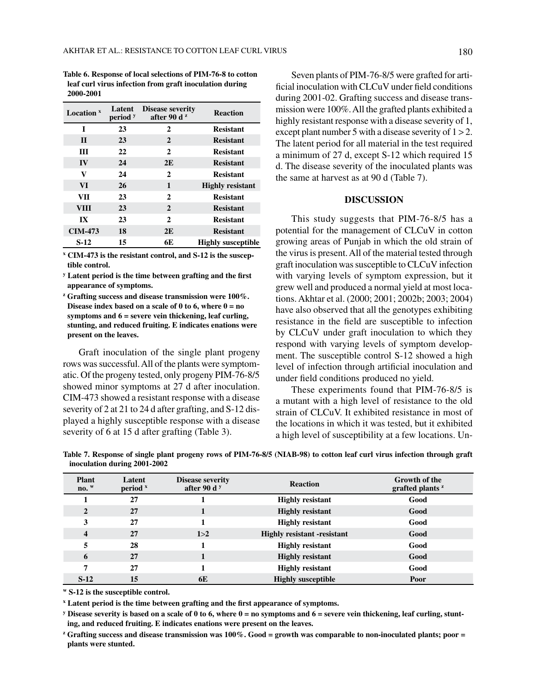**Table 6. Response of local selections of PIM-76-8 to cotton leaf curl virus infection from graft inoculation during 2000-2001**

| Location $x$            | Latent<br>period y | <b>Disease severity</b><br>after 90 d $z$ | <b>Reaction</b>           |
|-------------------------|--------------------|-------------------------------------------|---------------------------|
| T                       | 23                 | 2                                         | <b>Resistant</b>          |
| $\mathbf{H}$            | 23                 | 2                                         | <b>Resistant</b>          |
| Ш                       | 22                 | $\mathbf{2}$                              | <b>Resistant</b>          |
| $\bf{IV}$               | 24                 | 2E                                        | <b>Resistant</b>          |
| v                       | 24                 | 2                                         | <b>Resistant</b>          |
| <b>VI</b>               | 26                 | 1                                         | <b>Highly resistant</b>   |
| <b>VII</b>              | 23                 | $\mathbf{2}$                              | <b>Resistant</b>          |
| <b>VIII</b>             | 23                 | 2                                         | <b>Resistant</b>          |
| $\mathbf{I} \mathbf{X}$ | 23                 | $\mathbf{2}$                              | <b>Resistant</b>          |
| <b>CIM-473</b>          | 18                 | 2E                                        | <b>Resistant</b>          |
| $S-12$                  | 15                 | 6E                                        | <b>Highly susceptible</b> |

**x CIM-473 is the resistant control, and S-12 is the susceptible control.**

**y Latent period is the time between grafting and the first appearance of symptoms.**

**z Grafting success and disease transmission were 100%. Disease index based on a scale of 0 to 6, where**  $0 = no$ **symptoms and 6 = severe vein thickening, leaf curling, stunting, and reduced fruiting. E indicates enations were present on the leaves.**

Graft inoculation of the single plant progeny rows was successful. All of the plants were symptomatic. Of the progeny tested, only progeny PIM-76-8/5 showed minor symptoms at 27 d after inoculation. CIM-473 showed a resistant response with a disease severity of 2 at 21 to 24 d after grafting, and S-12 displayed a highly susceptible response with a disease severity of 6 at 15 d after grafting (Table 3).

Seven plants of PIM-76-8/5 were grafted for artificial inoculation with CLCuV under field conditions during 2001-02. Grafting success and disease transmission were 100%. All the grafted plants exhibited a highly resistant response with a disease severity of 1, except plant number 5 with a disease severity of  $1 > 2$ . The latent period for all material in the test required a minimum of 27 d, except S-12 which required 15 d. The disease severity of the inoculated plants was the same at harvest as at 90 d (Table 7).

#### **DISCUSSION**

This study suggests that PIM-76-8/5 has a potential for the management of CLCuV in cotton growing areas of Punjab in which the old strain of the virus is present. All of the material tested through graft inoculation was susceptible to CLCuV infection with varying levels of symptom expression, but it grew well and produced a normal yield at most locations. Akhtar et al. (2000; 2001; 2002b; 2003; 2004) have also observed that all the genotypes exhibiting resistance in the field are susceptible to infection by CLCuV under graft inoculation to which they respond with varying levels of symptom development. The susceptible control S-12 showed a high level of infection through artificial inoculation and under field conditions produced no yield.

These experiments found that PIM-76-8/5 is a mutant with a high level of resistance to the old strain of CLCuV. It exhibited resistance in most of the locations in which it was tested, but it exhibited a high level of susceptibility at a few locations. Un-

**Table 7. Response of single plant progeny rows of PIM-76-8/5 (NIAB-98) to cotton leaf curl virus infection through graft inoculation during 2001-2002**

| <b>Plant</b><br>$\mathbf{n}\mathbf{o}$ . $^{\mathrm{w}}$ | Latent<br>period <sup>x</sup> | <b>Disease severity</b><br>after 90 d $\frac{y}{x}$ | <b>Reaction</b>                     | <b>Growth of the</b><br>grafted plants <sup>2</sup> |
|----------------------------------------------------------|-------------------------------|-----------------------------------------------------|-------------------------------------|-----------------------------------------------------|
|                                                          | 27                            |                                                     | <b>Highly resistant</b>             | Good                                                |
| $\mathbf{2}$                                             | 27                            |                                                     | <b>Highly resistant</b>             | Good                                                |
| 3                                                        | 27                            |                                                     | <b>Highly resistant</b>             | Good                                                |
| 4                                                        | 27                            | 1 > 2                                               | <b>Highly resistant - resistant</b> | Good                                                |
| 5                                                        | 28                            |                                                     | <b>Highly resistant</b>             | Good                                                |
| 6                                                        | 27                            |                                                     | <b>Highly resistant</b>             | Good                                                |
| 7                                                        | 27                            | 1                                                   | <b>Highly resistant</b>             | Good                                                |
| $S-12$                                                   | 15                            | 6E                                                  | <b>Highly susceptible</b>           | Poor                                                |

**w S-12 is the susceptible control.**

**x Latent period is the time between grafting and the first appearance of symptoms.**

**y Disease severity is based on a scale of 0 to 6, where 0 = no symptoms and 6 = severe vein thickening, leaf curling, stunting, and reduced fruiting. E indicates enations were present on the leaves.**

**z Grafting success and disease transmission was 100%. Good = growth was comparable to non-inoculated plants; poor = plants were stunted.**